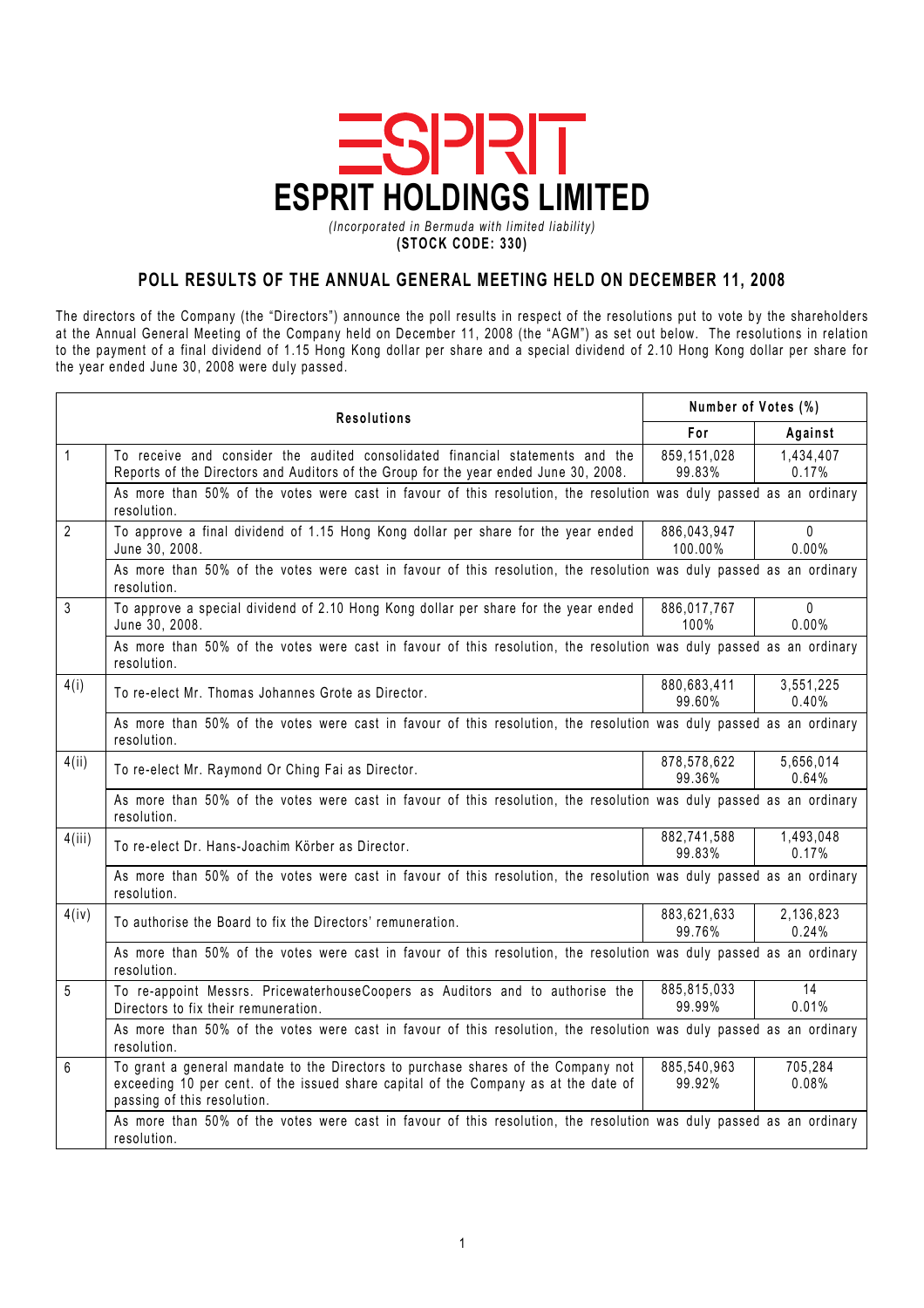

(Incorporated in Bermuda with limited liability) (STOCK CODE: 330)

## POLL RESULTS OF THE ANNUAL GENERAL MEETING HELD ON DECEMBER 11, 2008

The directors of the Company (the "Directors") announce the poll results in respect of the resolutions put to vote by the shareholders at the Annual General Meeting of the Company held on December 11, 2008 (the "AGM") as set out below. The resolutions in relation to the payment of a final dividend of 1.15 Hong Kong dollar per share and a special dividend of 2.10 Hong Kong dollar per share for the year ended June 30, 2008 were duly passed.

|                | <b>Resolutions</b>                                                                                                                                                                                      | Number of Votes (%)    |                       |
|----------------|---------------------------------------------------------------------------------------------------------------------------------------------------------------------------------------------------------|------------------------|-----------------------|
|                |                                                                                                                                                                                                         | For                    | Against               |
| $\mathbf{1}$   | To receive and consider the audited consolidated financial statements and the<br>Reports of the Directors and Auditors of the Group for the year ended June 30, 2008.                                   | 859,151,028<br>99.83%  | 1,434,407<br>0.17%    |
|                | As more than 50% of the votes were cast in favour of this resolution, the resolution was duly passed as an ordinary<br>resolution.                                                                      |                        |                       |
| $\overline{2}$ | To approve a final dividend of 1.15 Hong Kong dollar per share for the year ended<br>June 30, 2008.                                                                                                     | 886,043,947<br>100.00% | $\Omega$<br>0.00%     |
|                | As more than 50% of the votes were cast in favour of this resolution, the resolution was duly passed as an ordinary<br>resolution.                                                                      |                        |                       |
| 3              | To approve a special dividend of 2.10 Hong Kong dollar per share for the year ended<br>June 30, 2008.                                                                                                   | 886,017,767<br>100%    | $\mathbf{0}$<br>0.00% |
|                | As more than 50% of the votes were cast in favour of this resolution, the resolution was duly passed as an ordinary<br>resolution.                                                                      |                        |                       |
| 4(i)           | To re-elect Mr. Thomas Johannes Grote as Director.                                                                                                                                                      | 880,683,411<br>99.60%  | 3,551,225<br>0.40%    |
|                | As more than 50% of the votes were cast in favour of this resolution, the resolution was duly passed as an ordinary<br>resolution.                                                                      |                        |                       |
| 4(ii)          | To re-elect Mr. Raymond Or Ching Fai as Director.                                                                                                                                                       | 878,578,622<br>99.36%  | 5,656,014<br>0.64%    |
|                | As more than 50% of the votes were cast in favour of this resolution, the resolution was duly passed as an ordinary<br>resolution.                                                                      |                        |                       |
| 4(iii)         | To re-elect Dr. Hans-Joachim Körber as Director.                                                                                                                                                        | 882,741,588<br>99.83%  | 1,493,048<br>0.17%    |
|                | As more than 50% of the votes were cast in favour of this resolution, the resolution was duly passed as an ordinary<br>resolution.                                                                      |                        |                       |
| 4(iv)          | To authorise the Board to fix the Directors' remuneration.                                                                                                                                              | 883,621,633<br>99.76%  | 2,136,823<br>0.24%    |
|                | As more than 50% of the votes were cast in favour of this resolution, the resolution was duly passed as an ordinary<br>resolution.                                                                      |                        |                       |
| 5              | To re-appoint Messrs. PricewaterhouseCoopers as Auditors and to authorise the<br>Directors to fix their remuneration.                                                                                   | 885,815,033<br>99.99%  | 14<br>0.01%           |
|                | As more than 50% of the votes were cast in favour of this resolution, the resolution was duly passed as an ordinary<br>resolution.                                                                      |                        |                       |
| 6              | To grant a general mandate to the Directors to purchase shares of the Company not<br>exceeding 10 per cent. of the issued share capital of the Company as at the date of<br>passing of this resolution. | 885,540,963<br>99.92%  | 705,284<br>0.08%      |
|                | As more than 50% of the votes were cast in favour of this resolution, the resolution was duly passed as an ordinary<br>resolution.                                                                      |                        |                       |